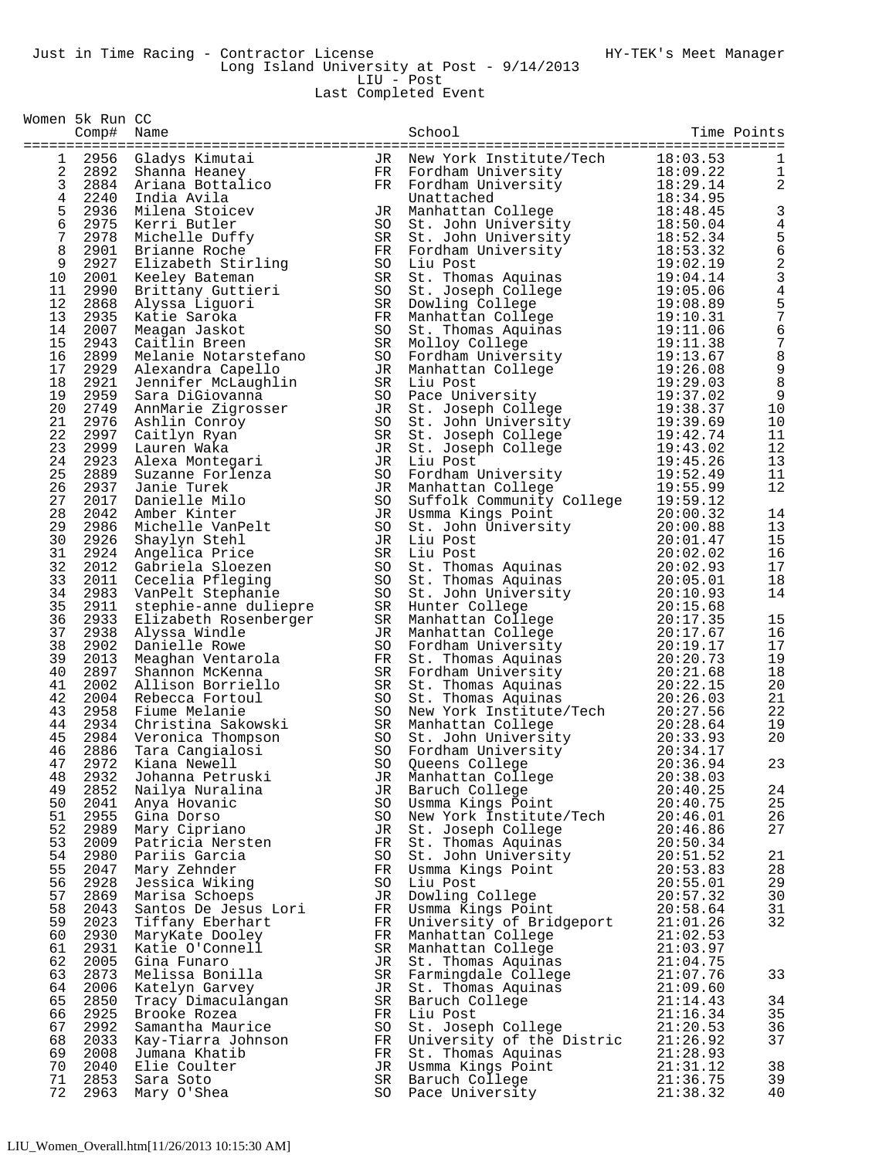Last Completed Event

|                 | Women 5k Run CC<br>Comp# Name |                                          |          | School                                    |                      | Time Points    |
|-----------------|-------------------------------|------------------------------------------|----------|-------------------------------------------|----------------------|----------------|
| 1               |                               | 2956 Gladys Kimutai                      | JR       | New York Institute/Tech                   | 18:03.53             | 1              |
| 2               | 2892                          | Shanna Heaney                            | FR.      | Fordham University                        | 18:09.22             | 1              |
| 3               |                               | 2884 Ariana Bottalico                    | FR       | Fordham University                        | 18:29.14             | 2              |
| 4               | 2240                          | India Avila                              |          | Unattached                                | 18:34.95             |                |
| 5               |                               | 2936 Milena Stoicev                      | JR       | Manhattan College                         | 18:48.45             | 3              |
| $\epsilon$<br>7 | 2975                          | Kerri Butler                             | SO       | St. John University                       | 18:50.04             | 4              |
| 8               | 2901                          | 2978 Michelle Duffy<br>Brianne Roche     | SR<br>FR | St. John University<br>Fordham University | 18:52.34<br>18:53.32 | $\frac{5}{6}$  |
| 9               | 2927                          | Elizabeth Stirling                       | SO       | Liu Post                                  | 19:02.19             | 2              |
| 10              | 2001                          | Keeley Bateman                           | SR       | St. Thomas Aquinas                        | 19:04.14             | $\mathbf{3}$   |
| 11              | 2990                          | Brittany Guttieri                        | SO       | St. Joseph College                        | 19:05.06             | $\overline{4}$ |
| 12              | 2868                          | Alyssa Liguori                           | SR       | Dowling College                           | 19:08.89             | 5              |
| 13              | 2935                          | Katie Saroka                             | FR       | Manhattan College                         | 19:10.31             | $\overline{7}$ |
| 14<br>15        | 2007<br>2943                  | Meagan Jaskot                            | SO<br>SR | St. Thomas Aquinas                        | 19:11.06<br>19:11.38 | 6<br>7         |
| 16              | 2899                          | Caitlin Breen<br>Melanie Notarstefano    | SO       | Molloy College<br>Fordham University      | 19:13.67             | 8              |
| 17              | 2929                          | Alexandra Capello                        | JR       | Manhattan College                         | 19:26.08             | $\mathsf 9$    |
| 18              | 2921                          | Jennifer McLaughlin                      | SR       | Liu Post                                  | 19:29.03             | 8              |
| 19              | 2959                          | Sara DiGiovanna                          | SO       | Pace University                           | 19:37.02             | $\mathsf 9$    |
| 20              | 2749                          | AnnMarie Zigrosser                       | JR       | St. Joseph College                        | 19:38.37             | 10             |
| 21              | 2976                          | Ashlin Conroy                            | SO       | St. John University                       | 19:39.69             | 10             |
| 22<br>23        | 2997<br>2999                  | Caitlyn Ryan                             | SR       | St. Joseph College                        | 19:42.74<br>19:43.02 | 11<br>12       |
| 24              | 2923                          | Lauren Waka<br>Alexa Montegari           | JR<br>JR | St. Joseph College<br>Liu Post            | 19:45.26             | 13             |
| 25              | 2889                          | Suzanne Forlenza                         | SO       | Fordham University                        | 19:52.49             | 11             |
| 26              | 2937                          | Janie Turek                              | JR       | Manhattan College                         | 19:55.99             | 12             |
| 27              | 2017                          | Danielle Milo                            | SO       | Suffolk Community College                 | 19:59.12             |                |
| 28              | 2042                          | Amber Kinter                             | JR       | Usmma Kings Point                         | 20:00.32             | 14             |
| 29              | 2986                          | Michelle VanPelt                         | SO       | St. John University                       | 20:00.88             | 13             |
| 30<br>31        | 2926<br>2924                  | Shaylyn Stehl                            | JR<br>SR | Liu Post                                  | 20:01.47<br>20:02.02 | 15<br>16       |
| 32              | 2012                          | Angelica Price<br>Gabriela Sloezen       | SO       | Liu Post<br>St. Thomas Aquinas            | 20:02.93             | 17             |
| 33              | 2011                          | Cecelia Pfleging                         | SO       | St. Thomas Aquinas                        | 20:05.01             | 18             |
| 34              | 2983                          | VanPelt Stephanie                        | SO       | St. John University                       | 20:10.93             | 14             |
| 35              | 2911                          | stephie-anne duliepre                    | SR       | Hunter College                            | 20:15.68             |                |
| 36              | 2933                          | Elizabeth Rosenberger                    | SR       | Manhattan College                         | 20:17.35             | 15             |
| 37              | 2938                          | Alyssa Windle                            | JR       | Manhattan College                         | 20:17.67             | 16             |
| 38<br>39        | 2902<br>2013                  | Danielle Rowe                            | SO       | Fordham University                        | 20:19.17<br>20:20.73 | 17<br>19       |
| 40              | 2897                          | Meaghan Ventarola<br>Shannon McKenna     | FR<br>SR | St. Thomas Aquinas<br>Fordham University  | 20:21.68             | 18             |
| 41              | 2002                          | Allison Borriello                        | SR       | St. Thomas Aquinas                        | 20:22.15             | 20             |
| 42              | 2004                          | Rebecca Fortoul                          | SO       | St. Thomas Aquinas                        | 20:26.03             | 21             |
| 43              | 2958                          | Fiume Melanie                            | SO       | New York Institute/Tech                   | 20:27.56             | 22             |
| 44              | 2934                          | Christina Sakowski                       | SR       | Manhattan College                         | 20:28.64             | 19             |
| 45              |                               | 2984 Veronica Thompson                   | SO       | St. John University                       | 20:33.93             | 20             |
| 46<br>47        | 2886                          | Tara Cangialosi<br>2972 Kiana Newell     | SO       | Fordham University<br>SO Queens College   | 20:34.17<br>20:36.94 | 23             |
| 48              | 2932                          | Johanna Petruski                         | JR       | Manhattan College                         | 20:38.03             |                |
| 49              |                               | 2852 Nailya Nuralina                     |          | JR Baruch College                         | 20:40.25             | 24             |
| 50              | 2041                          | Anya Hovanic                             | SO       | Usmma Kings Point                         | 20:40.75             | 25             |
| 51              |                               | 2955 Gina Dorso                          | SO       | New York Institute/Tech                   | 20:46.01             | 26             |
| 52              | 2989                          | Mary Cipriano                            | JR       | St. Joseph College                        | 20:46.86             | 27             |
| 53<br>54        | 2009<br>2980                  | Patricia Nersten                         | FR<br>SO | St. Thomas Aquinas                        | 20:50.34<br>20:51.52 | 21             |
| 55              | 2047                          | Pariis Garcia<br>Mary Zehnder            | FR       | St. John University<br>Usmma Kings Point  | 20:53.83             | 28             |
| 56              | 2928                          | Jessica Wiking                           | SO       | Liu Post                                  | 20:55.01             | 29             |
| 57              | 2869                          | Marisa Schoeps                           | JR       | Dowling College                           | 20:57.32             | 30             |
| 58              | 2043                          | Santos De Jesus Lori                     | FR       | Usmma Kings Point                         | 20:58.64             | 31             |
| 59              | 2023                          | Tiffany Eberhart                         | FR       | University of Bridgeport                  | 21:01.26             | 32             |
| 60              | 2930                          | MaryKate Dooley                          | FR       | Manhattan College                         | 21:02.53             |                |
| 61<br>62        | 2931<br>2005                  | Katie O'Connell                          | SR       | Manhattan College                         | 21:03.97             |                |
| 63              | 2873                          | Gina Funaro<br>Melissa Bonilla           | JR<br>SR | St. Thomas Aquinas<br>Farmingdale College | 21:04.75<br>21:07.76 | 33             |
| 64              | 2006                          | Katelyn Garvey                           | JR       | St. Thomas Aquinas                        | 21:09.60             |                |
| 65              | 2850                          | Tracy Dimaculangan                       | SR       | Baruch College                            | 21:14.43             | 34             |
| 66              | 2925                          | Brooke Rozea                             | FR       | Liu Post                                  | 21:16.34             | 35             |
| 67              | 2992                          | Samantha Maurice                         | SO       | St. Joseph College                        | 21:20.53             | 36             |
| 68<br>69        | 2033                          | Kay-Tiarra Johnson<br>2008 Jumana Khatib | FR       | University of the Distric                 | 21:26.92<br>21:28.93 | 37             |
| 70              | 2040                          | Elie Coulter                             | FR<br>JR | St. Thomas Aquinas<br>Usmma Kings Point   | 21:31.12             | 38             |
| 71              | 2853                          | Sara Soto                                | SR       | Baruch College                            | 21:36.75             | 39             |
| 72              | 2963                          | Mary O'Shea                              | SO       | Pace University                           | 21:38.32             | 40             |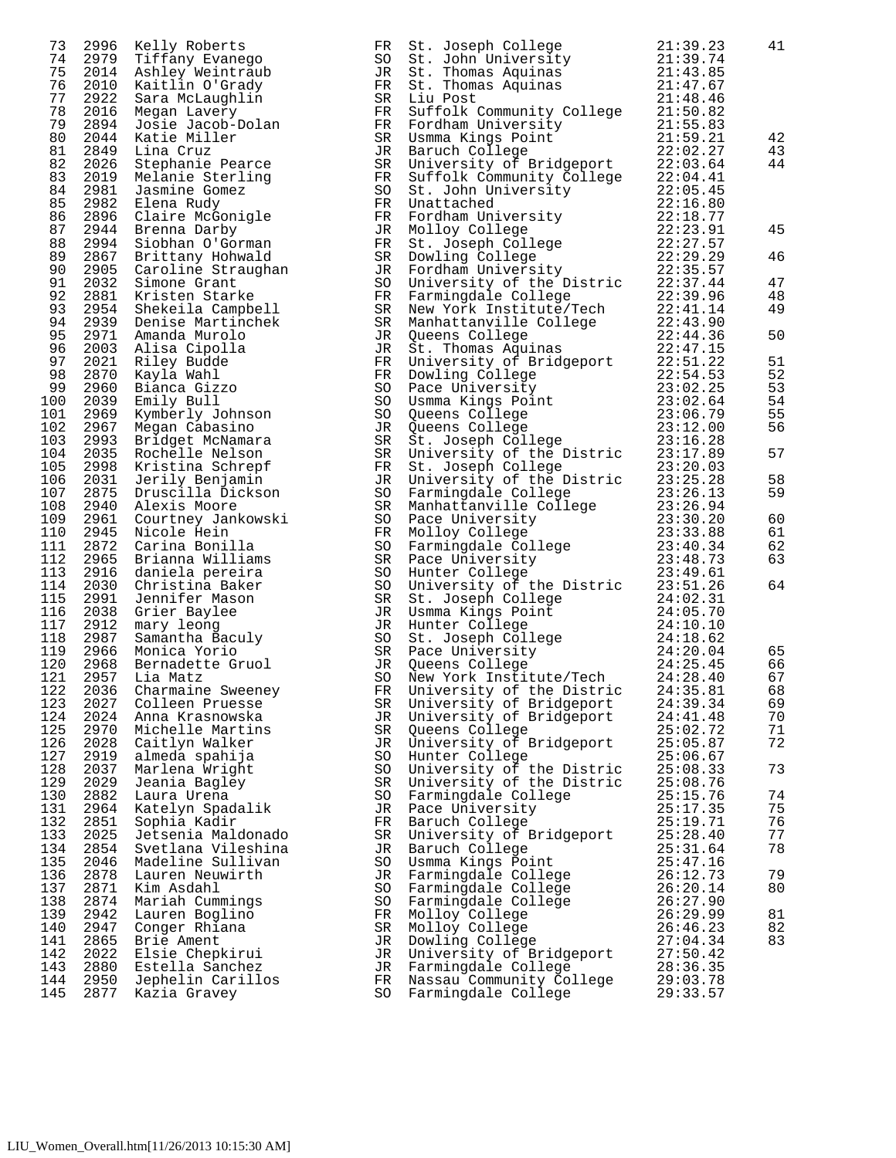| 73                                     | 2996                                         | Kelly Roberts                                                                                                  |
|----------------------------------------|----------------------------------------------|----------------------------------------------------------------------------------------------------------------|
| 74                                     | 2979                                         | Tiffany Evanego                                                                                                |
| 75                                     | 2014                                         | Ashley Weintraub                                                                                               |
| 76                                     | 2010                                         | Kaitlin O'Grady                                                                                                |
| 77                                     | 2922                                         | Sara McLaughlin                                                                                                |
| 78                                     | 2016                                         | Megan Lavery                                                                                                   |
| 79                                     | 2894                                         | Josie Jacob-Dolan                                                                                              |
| 80                                     | 2044                                         | Katie Miller                                                                                                   |
| 81                                     | 2849                                         | Lina Cruz                                                                                                      |
| 82                                     | 2026                                         | Stephanie Pearce                                                                                               |
| 83                                     | 2019                                         | Melanie Sterling                                                                                               |
| 84                                     | 2981                                         | Jasmine Gomez                                                                                                  |
| 85                                     | 2982                                         | Elena Rudy                                                                                                     |
| 86                                     | 2896                                         | Claire McGonigle                                                                                               |
| 87                                     | 2944                                         | Brenna Darby                                                                                                   |
| 88                                     | 2994                                         | Siobhan O'Gorman                                                                                               |
| 89                                     | 2867                                         | Brittany Hohwald                                                                                               |
| 90                                     | 2905                                         | Caroline Straughan                                                                                             |
| 91                                     | 2032                                         | Simone Grant                                                                                                   |
| 92                                     | 2881                                         | Kristen Starke                                                                                                 |
| 93                                     | 2954                                         | Shekeila Campbell                                                                                              |
| 97                                     | 2021                                         | Alisa Cipolla<br>Riley Budde                                                                                   |
| 98                                     | 2870                                         | Kayla Wahl                                                                                                     |
| 99                                     | 2960                                         | Bianca Gizzo                                                                                                   |
| 100                                    | 2039                                         | Emily Bull                                                                                                     |
| 101                                    | 2969                                         | Kymberly Johnson                                                                                               |
| 102                                    | 2967                                         | Megan Cabasino                                                                                                 |
| 103                                    | 2993                                         | Bridget McNamara                                                                                               |
| 104                                    | 2035                                         | Rochelle Nelson                                                                                                |
| 105                                    | 2998                                         | Kristina Schrepf                                                                                               |
| 106                                    | 2031                                         | Jerily Benjamin                                                                                                |
| 107                                    | 2875                                         | Druscilla Dickson                                                                                              |
| 108                                    | 2940                                         | Alexis Moore                                                                                                   |
| 109                                    | 2961                                         | Courtney Jankowski                                                                                             |
| 110                                    | 2945                                         | Nicole Hein                                                                                                    |
| 111                                    | 2872                                         | Carina Bonilla                                                                                                 |
| 112                                    | 2965                                         | Brianna Williams                                                                                               |
| 113                                    | 2916                                         | daniela pereira                                                                                                |
| 114                                    | 2030                                         | Christina Baker                                                                                                |
| 115                                    | 2991                                         | Jennifer Mason                                                                                                 |
| 116                                    | 2038                                         | Grier <sub>_</sub> Baylee                                                                                      |
| 117                                    | 2912                                         | mary leong                                                                                                     |
| 118                                    | 2987                                         | Samantha Baculy                                                                                                |
| 119                                    | 2966                                         | Monica Yorio                                                                                                   |
| 120<br>121<br>122<br>123<br>124<br>125 | 2968<br>2957<br>2036<br>2027<br>2024<br>2970 | Bernadette Gruol<br>Lia Matz<br>Charmaine<br>Sweeney<br>Colleen Pruesse<br>Anna Krasnowska<br>Michelle Martins |
| 126                                    | 2028                                         | Caitlyn Walker                                                                                                 |
| 127                                    | 2919                                         | almeda spahija                                                                                                 |
| 128                                    | 2037                                         | Marlena Wright                                                                                                 |
| 129                                    | 2029                                         | Jeania Bagley                                                                                                  |
| 130                                    | 2882                                         | Laura Urena                                                                                                    |
| 131                                    | 2964                                         | Katelyn Spadalik                                                                                               |
| 132                                    | 2851                                         | Sophia Kadir                                                                                                   |
| 133                                    | 2025                                         | Jetsenia Maldonado                                                                                             |
| 134                                    | 2854                                         | Svetlana Vileshina                                                                                             |
| 135                                    | 2046                                         | Madeline Sullivan                                                                                              |
| 136                                    | 2878                                         | Lauren Neuwirth                                                                                                |
| 137                                    | 2871                                         | Kim Asdahl                                                                                                     |
| 138                                    | 2874                                         | Mariah Cummings                                                                                                |
| 139                                    | 2942                                         | Lauren Boglino                                                                                                 |
| 140                                    | 2947                                         | Conger Rhiana                                                                                                  |
| 141                                    | 2865                                         | Brie Ament                                                                                                     |
| 142                                    | 2022                                         | Elsie Chepkirui                                                                                                |
| 143                                    | 2880                                         | Estella Sanchez                                                                                                |
| 144                                    | 2950                                         | Jephelin Carillos                                                                                              |
| 145                                    | 2877                                         | Kazia Gravey                                                                                                   |

| 73  | 2996 | Kelly Roberts           | FR. | St. Joseph College                                                                                                                                                                                                                                         | 21:39.23 | 41 |
|-----|------|-------------------------|-----|------------------------------------------------------------------------------------------------------------------------------------------------------------------------------------------------------------------------------------------------------------|----------|----|
| 74  | 2979 | Tiffany Evanego         | SO  |                                                                                                                                                                                                                                                            |          |    |
| 75  |      | 2014 Ashley Weintraub   | JR  | St. John University 21:39.74<br>St. Thomas Aquinas 21:43.85                                                                                                                                                                                                |          |    |
| 76  | 2010 | Kaitlin O'Grady         | FR  |                                                                                                                                                                                                                                                            |          |    |
|     |      |                         |     | St. Thomas Aquinas 21:47.67                                                                                                                                                                                                                                |          |    |
| 77  | 2922 | Sara McLaughlin         | SR  | Liu Post                                                                                                                                                                                                                                                   | 21:48.46 |    |
| 78  | 2016 | Megan Lavery            | FR  | Euffolk Community College<br>Suffolk Community College<br>Fordham University<br>Usmma Kings Point<br>21:55.83<br>Usmma Kings Point<br>22:02.27<br>University of Bridgeport<br>22:03.64<br>Suffolk Community College<br>22:04.41<br>St. John Universi       |          |    |
| 79  | 2894 | Josie Jacob-Dolan       | FR  |                                                                                                                                                                                                                                                            |          |    |
| 80  | 2044 | Katie Miller            | SR  |                                                                                                                                                                                                                                                            |          | 42 |
| 81  | 2849 | Lina Cruz               | JR  |                                                                                                                                                                                                                                                            |          | 43 |
|     |      |                         |     |                                                                                                                                                                                                                                                            |          |    |
| 82  | 2026 | Stephanie Pearce        | SR  |                                                                                                                                                                                                                                                            |          | 44 |
| 83  |      | 2019 Melanie Sterling   | FR  |                                                                                                                                                                                                                                                            |          |    |
| 84  | 2981 | Jasmine Gomez           | SO  |                                                                                                                                                                                                                                                            |          |    |
| 85  | 2982 | Elena Rudy              | FR  |                                                                                                                                                                                                                                                            |          |    |
| 86  |      | 2896 Claire McGonigle   | FR  |                                                                                                                                                                                                                                                            |          |    |
| 87  |      | 2944 Brenna Darby       |     | Fordham University<br>Mollov College 22:18.77<br>Mollov College 22:23.91                                                                                                                                                                                   |          | 45 |
|     |      |                         | JR  |                                                                                                                                                                                                                                                            |          |    |
| 88  |      | 2994 Siobhan O'Gorman   | FR  |                                                                                                                                                                                                                                                            |          |    |
| 89  |      | 2867 Brittany Hohwald   | SR  |                                                                                                                                                                                                                                                            |          | 46 |
| 90  |      | 2905 Caroline Straughan | JR  |                                                                                                                                                                                                                                                            |          |    |
| 91  |      | 2032 Simone Grant       | SO  |                                                                                                                                                                                                                                                            |          | 47 |
| 92  | 2881 | Kristen Starke          | FR  |                                                                                                                                                                                                                                                            |          | 48 |
| 93  |      | 2954 Shekeila Campbell  |     |                                                                                                                                                                                                                                                            |          | 49 |
|     |      |                         | SR  |                                                                                                                                                                                                                                                            |          |    |
| 94  |      | 2939 Denise Martinchek  | SR  |                                                                                                                                                                                                                                                            |          |    |
| 95  |      | 2971 Amanda Murolo      | JR  |                                                                                                                                                                                                                                                            |          | 50 |
| 96  | 2003 | Alisa Cipolla           | JR  |                                                                                                                                                                                                                                                            |          |    |
| 97  | 2021 | Riley Budde             | FR  |                                                                                                                                                                                                                                                            |          | 51 |
| 98  | 2870 | Kayla Wahl              | FR  |                                                                                                                                                                                                                                                            |          | 52 |
| 99  | 2960 | Bianca Gizzo            | SO  |                                                                                                                                                                                                                                                            |          | 53 |
|     |      |                         |     |                                                                                                                                                                                                                                                            |          |    |
| 100 | 2039 | Emily Bull              | SO  |                                                                                                                                                                                                                                                            |          | 54 |
| 101 | 2969 | Kymberly Johnson        | SO  |                                                                                                                                                                                                                                                            |          | 55 |
| 102 |      | 2967 Megan Cabasino     | JR  |                                                                                                                                                                                                                                                            |          | 56 |
| 103 | 2993 | Bridget McNamara        | SR  |                                                                                                                                                                                                                                                            |          |    |
| 104 | 2035 | Rochelle Nelson         | SR  |                                                                                                                                                                                                                                                            |          | 57 |
| 105 | 2998 |                         | FR  |                                                                                                                                                                                                                                                            |          |    |
|     |      | Kristina Schrepf        |     |                                                                                                                                                                                                                                                            |          |    |
| 106 | 2031 | Jerily Benjamin         | JR  | Fordinan University<br>Molloy College 22:23.91<br>St. Joseph College 22:27.57<br>Dowling College 22:27.57<br>Dowling College 22:29.29<br>Fordham University<br>University of the Distric 22:33.94<br>Harmingdale College 22:33.94<br>New York              |          | 58 |
| 107 | 2875 | Druscilla Dickson       | SO  |                                                                                                                                                                                                                                                            |          | 59 |
| 108 | 2940 | Alexis Moore            | SR  |                                                                                                                                                                                                                                                            |          |    |
| 109 | 2961 | Courtney Jankowski      | SO  |                                                                                                                                                                                                                                                            |          | 60 |
| 110 | 2945 | Nicole Hein             | FR  |                                                                                                                                                                                                                                                            |          | 61 |
| 111 |      | 2872 Carina Bonilla     | SO  |                                                                                                                                                                                                                                                            |          | 62 |
| 112 | 2965 |                         | SR  |                                                                                                                                                                                                                                                            |          | 63 |
|     |      | Brianna Williams        |     | Face University<br>Molloy College<br>Parmingdale College<br>Pace University<br>Pace University<br>Hunter College<br>23:40.34<br>Hunter College<br>23:40.34<br>University of the Distric<br>24:02.31<br>Usmma Kings Point<br>24:05.70<br>Hunter College<br> |          |    |
| 113 |      | 2916 daniela pereira    | SO  |                                                                                                                                                                                                                                                            |          |    |
| 114 |      | 2030 Christina Baker    | SO  |                                                                                                                                                                                                                                                            |          | 64 |
| 115 | 2991 | Jennifer Mason          | SR  |                                                                                                                                                                                                                                                            |          |    |
| 116 | 2038 | Grier Baylee            | JR  |                                                                                                                                                                                                                                                            |          |    |
| 117 | 2912 | mary leong              | JR  |                                                                                                                                                                                                                                                            |          |    |
| 118 | 2987 | Samantha Baculy         | SO  |                                                                                                                                                                                                                                                            |          |    |
|     |      |                         |     |                                                                                                                                                                                                                                                            |          |    |
| 119 |      | 2966 Monica Yorio       | SR  |                                                                                                                                                                                                                                                            |          | 65 |
| 120 | 2968 | Bernadette Gruol        | JR  |                                                                                                                                                                                                                                                            |          | 66 |
| 121 | 2957 | Lia Matz                | SO  |                                                                                                                                                                                                                                                            |          | 67 |
| 122 | 2036 | Charmaine Sweeney       | FR. |                                                                                                                                                                                                                                                            |          | 68 |
| 123 | 2027 | Colleen Pruesse         | SR  | University of Bridgeport                                                                                                                                                                                                                                   | 24:39.34 | 69 |
| 124 | 2024 | Anna Krasnowska         | JR  | University of Bridgeport                                                                                                                                                                                                                                   | 24:41.48 | 70 |
| 125 | 2970 |                         |     |                                                                                                                                                                                                                                                            | 25:02.72 | 71 |
|     |      | Michelle Martins        | SR  | Queens College                                                                                                                                                                                                                                             |          |    |
| 126 | 2028 | Caitlyn Walker          | JR  | University of Bridgeport                                                                                                                                                                                                                                   | 25:05.87 | 72 |
| 127 | 2919 | almeda spahija          | SO  | Hunter College                                                                                                                                                                                                                                             | 25:06.67 |    |
| 128 | 2037 | Marlena Wright          | SO  | University of the Distric                                                                                                                                                                                                                                  | 25:08.33 | 73 |
| 129 | 2029 | Jeania Bagley           | SR  | University of the Distric                                                                                                                                                                                                                                  | 25:08.76 |    |
| 130 | 2882 | Laura Urena             | SO  | Farmingdale College                                                                                                                                                                                                                                        | 25:15.76 | 74 |
| 131 | 2964 |                         |     |                                                                                                                                                                                                                                                            | 25:17.35 | 75 |
|     |      | Katelyn Spadalik        | JR  | Pace University                                                                                                                                                                                                                                            |          |    |
| 132 | 2851 | Sophia Kadir            | FR  | Baruch College                                                                                                                                                                                                                                             | 25:19.71 | 76 |
| 133 | 2025 | Jetsenia Maldonado      | SR  | University of Bridgeport                                                                                                                                                                                                                                   | 25:28.40 | 77 |
| 134 | 2854 | Svetlana Vileshina      | JR  | Baruch College                                                                                                                                                                                                                                             | 25:31.64 | 78 |
| 135 | 2046 | Madeline Sullivan       | SO  | Usmma Kings Point                                                                                                                                                                                                                                          | 25:47.16 |    |
| 136 | 2878 | Lauren Neuwirth         | JR  | Farmingdale College                                                                                                                                                                                                                                        | 26:12.73 | 79 |
| 137 | 2871 | Kim Asdahl              | SO  | Farmingdale College                                                                                                                                                                                                                                        | 26:20.14 | 80 |
|     |      |                         |     |                                                                                                                                                                                                                                                            |          |    |
| 138 | 2874 | Mariah Cummings         | SO  | Farmingdale College                                                                                                                                                                                                                                        | 26:27.90 |    |
| 139 | 2942 | Lauren Boglino          | FR  | Molloy College                                                                                                                                                                                                                                             | 26:29.99 | 81 |
| 140 | 2947 | Conger Rhiana           | SR  | Molloy College                                                                                                                                                                                                                                             | 26:46.23 | 82 |
| 141 | 2865 | Brie Ament              | JR  | Dowling College                                                                                                                                                                                                                                            | 27:04.34 | 83 |
| 142 | 2022 | Elsie Chepkirui         | JR  | University of Bridgeport                                                                                                                                                                                                                                   | 27:50.42 |    |
| 143 | 2880 | Estella Sanchez         | JR  | Farmingdale College                                                                                                                                                                                                                                        | 28:36.35 |    |
| 144 | 2950 | Jephelin Carillos       | FR  | Nassau Community College                                                                                                                                                                                                                                   | 29:03.78 |    |
|     |      |                         |     |                                                                                                                                                                                                                                                            |          |    |
| 145 | 2877 | Kazia Gravey            | SO  | Farmingdale College                                                                                                                                                                                                                                        | 29:33.57 |    |
|     |      |                         |     |                                                                                                                                                                                                                                                            |          |    |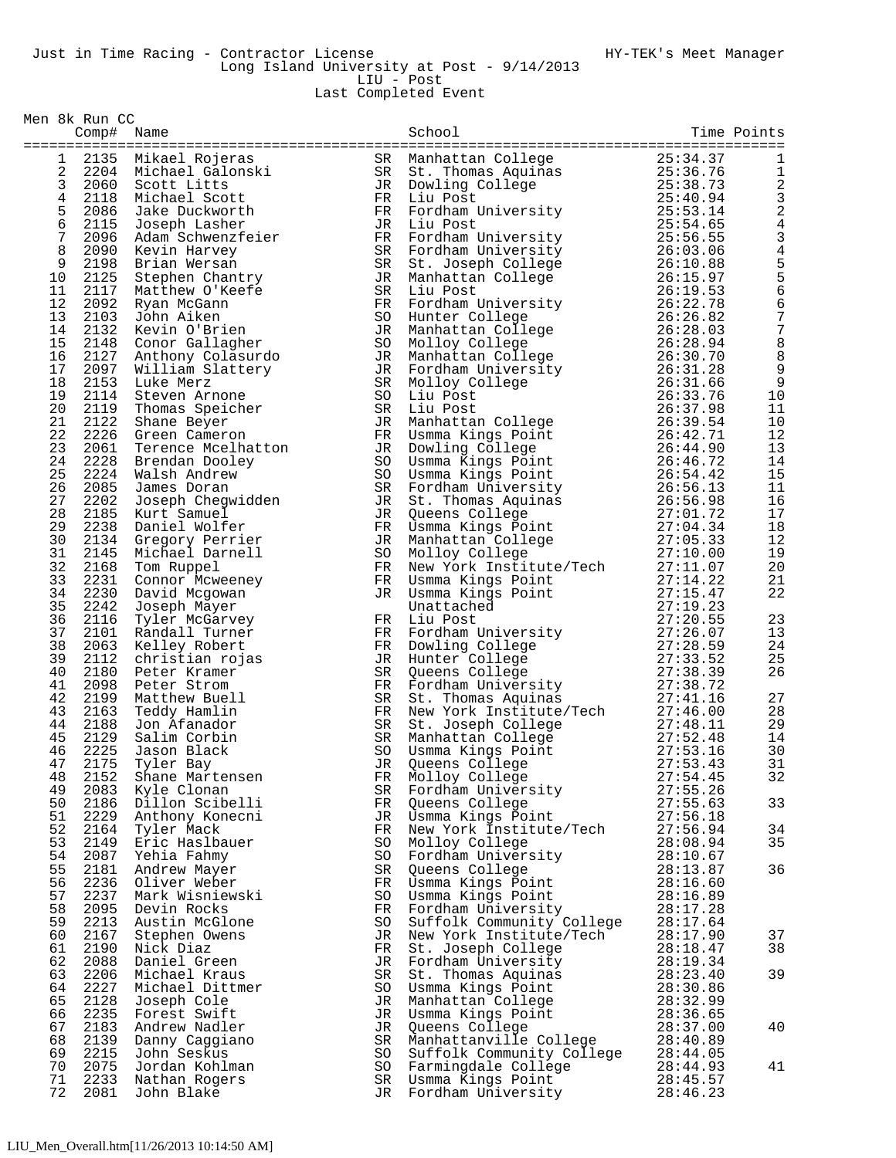Last Completed Event

|            | Comp# Name   |                                                             |          | School                                                                                                                                                                                                                                              |                      | Time Points             |
|------------|--------------|-------------------------------------------------------------|----------|-----------------------------------------------------------------------------------------------------------------------------------------------------------------------------------------------------------------------------------------------------|----------------------|-------------------------|
| 1          |              |                                                             |          | 30 134.37<br>SR Manhattan College<br>SR St. Thomas Aquinas<br>25:34.37<br>JR Dowling College<br>25:38.73<br>FR Liu Post<br>FR Fordham University<br>25:53.14<br>JR Liu Post<br>25:54.65                                                             |                      | 1                       |
| 2          |              | Annael Rojeras<br>2204 Michael Galonski<br>2060 Scott Litts |          |                                                                                                                                                                                                                                                     |                      | $\mathbf{1}$            |
| 3          |              |                                                             |          |                                                                                                                                                                                                                                                     |                      |                         |
| $\,4$      | 2118         | Michael Scott                                               |          |                                                                                                                                                                                                                                                     |                      | $\frac{2}{3}$           |
| 5          | 2086         | Jake Duckworth                                              |          |                                                                                                                                                                                                                                                     |                      | $\overline{\mathbf{c}}$ |
| $\epsilon$ | 2115         | Joseph Lasher                                               |          |                                                                                                                                                                                                                                                     |                      | $\overline{4}$          |
| 7          | 2096         | Adam Schwenzfeier                                           |          |                                                                                                                                                                                                                                                     |                      | 3                       |
| 8          | 2090         | Kevin Harvey                                                |          |                                                                                                                                                                                                                                                     |                      | 4556                    |
| 9          | 2198         | Brian Wersan                                                |          |                                                                                                                                                                                                                                                     |                      |                         |
| 10         | 2125         | Stephen Chantry                                             |          |                                                                                                                                                                                                                                                     |                      |                         |
| 11         | 2117         | Matthew O'Keefe                                             |          |                                                                                                                                                                                                                                                     |                      |                         |
| 12         | 2092         | Ryan McGann                                                 |          |                                                                                                                                                                                                                                                     |                      | $\overline{6}$          |
| 13<br>14   | 2103         | John Aiken                                                  |          |                                                                                                                                                                                                                                                     |                      | $\frac{7}{7}$           |
| 15         | 2132<br>2148 | Kevin O'Brien<br>Conor Gallagher                            |          |                                                                                                                                                                                                                                                     |                      | 8                       |
| 16         | 2127         | Anthony Colasurdo                                           |          |                                                                                                                                                                                                                                                     |                      | 8                       |
| 17         | 2097         | William Slattery                                            |          |                                                                                                                                                                                                                                                     |                      | 9                       |
| 18         | 2153         | Luke Merz                                                   |          |                                                                                                                                                                                                                                                     |                      | $\overline{9}$          |
| 19         | 2114         | Steven Arnone                                               |          |                                                                                                                                                                                                                                                     |                      | 10                      |
| 20         | 2119         | Thomas Speicher                                             |          |                                                                                                                                                                                                                                                     |                      | 11                      |
| 21         | 2122         | Shane Beyer                                                 |          |                                                                                                                                                                                                                                                     |                      | 10                      |
| 22         | 2226         | Green Cameron                                               |          |                                                                                                                                                                                                                                                     |                      | 12                      |
| 23         | 2061         | Terence Mcelhatton                                          |          |                                                                                                                                                                                                                                                     |                      | 13                      |
| 24         | 2228         | Brendan Dooley                                              |          |                                                                                                                                                                                                                                                     |                      | 14                      |
| 25         | 2224         | Walsh Andrew                                                |          |                                                                                                                                                                                                                                                     |                      | 15                      |
| 26         | 2085         | James Doran                                                 |          |                                                                                                                                                                                                                                                     |                      | 11                      |
| 27         | 2202         | Joseph Chegwidden                                           |          |                                                                                                                                                                                                                                                     |                      | 16                      |
| 28         | 2185         | Kurt Samuel                                                 |          |                                                                                                                                                                                                                                                     |                      | 17                      |
| 29         | 2238         | Daniel Wolfer                                               |          | FR Fordham University<br>$25:54.44$<br>TR Endia Diversity<br>TR Endia Diversity<br>TR Endia Diversity<br>$25:54.46$<br>TR Fordham University<br>SR St. Joseph College<br>SR Minhattan College<br>SR Liu Post<br>Namhattan College<br>TR Tordham Uni |                      | 18                      |
| 30<br>31   | 2134         | Gregory Perrier<br>Michael Darnell                          |          |                                                                                                                                                                                                                                                     |                      | 12                      |
| 32         | 2145<br>2168 | Tom Ruppel                                                  |          |                                                                                                                                                                                                                                                     |                      | 19<br>20                |
| 33         | 2231         | Connor Mcweeney                                             |          |                                                                                                                                                                                                                                                     |                      | 21                      |
| 34         | 2230         | David Mcgowan                                               |          |                                                                                                                                                                                                                                                     |                      | 22                      |
| 35         | 2242         | Joseph Mayer                                                |          |                                                                                                                                                                                                                                                     |                      |                         |
| 36         | 2116         | Tyler McGarvey                                              |          |                                                                                                                                                                                                                                                     |                      | 23                      |
| 37         | 2101         | Randall Turner                                              |          |                                                                                                                                                                                                                                                     |                      | 13                      |
| 38         | 2063         | Kelley Robert                                               |          |                                                                                                                                                                                                                                                     |                      | 24                      |
| 39         | 2112         | christian rojas                                             |          |                                                                                                                                                                                                                                                     |                      | 25                      |
| 40         | 2180         | Peter Kramer                                                |          |                                                                                                                                                                                                                                                     |                      | 26                      |
| 41         | 2098         | Peter Strom                                                 |          |                                                                                                                                                                                                                                                     |                      |                         |
| 42         | 2199         | Matthew Buell                                               |          |                                                                                                                                                                                                                                                     |                      | 27                      |
| 43         | 2163         | Teddy Hamlin                                                |          |                                                                                                                                                                                                                                                     |                      | 28                      |
| 44         | 2188         | Jon Afanador                                                |          |                                                                                                                                                                                                                                                     |                      | 29                      |
| 45<br>46   | 2129         | Salim Corbin<br>Jason Black                                 |          |                                                                                                                                                                                                                                                     |                      | 14<br>30                |
| 47         | 2225<br>2175 | Tyler Bay                                                   |          |                                                                                                                                                                                                                                                     |                      | 31                      |
| 48         | 2152         | Shane Martensen                                             | FR       | Molloy College                                                                                                                                                                                                                                      | 27:54.45             | 32                      |
| 49         | 2083         | Kyle Clonan                                                 | SR       | Fordham University                                                                                                                                                                                                                                  | 27:55.26             |                         |
| 50         | 2186         | Dillon Scibelli                                             | FR       | Queens College                                                                                                                                                                                                                                      | 27:55.63             | 33                      |
| 51         | 2229         | Anthony Konecni                                             | JR       | Usmma Kings Point                                                                                                                                                                                                                                   | 27:56.18             |                         |
| 52         | 2164         | Tyler Mack                                                  | FR       | New York Institute/Tech                                                                                                                                                                                                                             | 27:56.94             | 34                      |
| 53         | 2149         | Eric Haslbauer                                              | SO       | Molloy College                                                                                                                                                                                                                                      | 28:08.94             | 35                      |
| 54         | 2087         | Yehia Fahmy                                                 | SO       | Fordham University                                                                                                                                                                                                                                  | 28:10.67             |                         |
| 55         | 2181         | Andrew Mayer                                                | SR       | Queens College                                                                                                                                                                                                                                      | 28:13.87             | 36                      |
| 56         | 2236         | Oliver Weber                                                | FR       | Usmma Kings Point                                                                                                                                                                                                                                   | 28:16.60             |                         |
| 57         | 2237         | Mark Wisniewski                                             | SO       | Usmma Kings Point                                                                                                                                                                                                                                   | 28:16.89             |                         |
| 58         | 2095         | Devin Rocks                                                 | FR       | Fordham University                                                                                                                                                                                                                                  | 28:17.28             |                         |
| 59         | 2213         | Austin McGlone                                              | SO       | Suffolk Community College                                                                                                                                                                                                                           | 28:17.64             |                         |
| 60         | 2167         | Stephen Owens                                               | JR       | New York Institute/Tech                                                                                                                                                                                                                             | 28:17.90             | 37                      |
| 61         | 2190         | Nick Diaz                                                   | FR       | St. Joseph College                                                                                                                                                                                                                                  | 28:18.47             | 38                      |
| 62<br>63   | 2088<br>2206 | Daniel Green<br>Michael Kraus                               | JR<br>SR | Fordham University<br>St. Thomas Aquinas                                                                                                                                                                                                            | 28:19.34<br>28:23.40 | 39                      |
| 64         | 2227         | Michael Dittmer                                             | SO       | Usmma Kings Point                                                                                                                                                                                                                                   | 28:30.86             |                         |
| 65         | 2128         | Joseph Cole                                                 | JR       | Manhattan College                                                                                                                                                                                                                                   | 28:32.99             |                         |
| 66         | 2235         | Forest Swift                                                | JR       | Usmma Kings Point                                                                                                                                                                                                                                   | 28:36.65             |                         |
| 67         | 2183         | Andrew Nadler                                               | JR       | Queens College                                                                                                                                                                                                                                      | 28:37.00             | 40                      |
| 68         | 2139         | Danny Caggiano                                              | SR       | Manhattanville College                                                                                                                                                                                                                              | 28:40.89             |                         |
| 69         | 2215         | John Seskus                                                 | SO       | Suffolk Community College                                                                                                                                                                                                                           | 28:44.05             |                         |
| 70         | 2075         | Jordan Kohlman                                              | SO       | Farmingdale College                                                                                                                                                                                                                                 | 28:44.93             | 41                      |
| 71         | 2233         | Nathan Rogers                                               | SR       | Usmma Kings Point                                                                                                                                                                                                                                   | 28:45.57             |                         |
| 72         | 2081         | John Blake                                                  |          | JR Fordham University                                                                                                                                                                                                                               | 28:46.23             |                         |